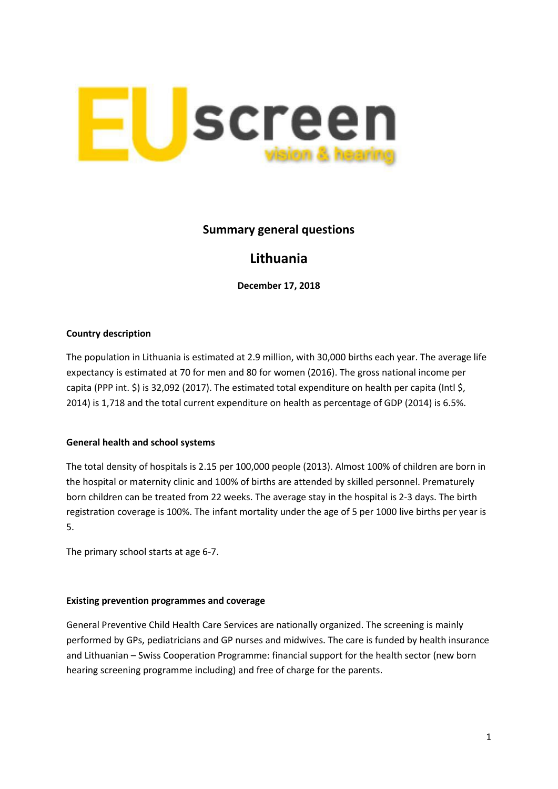

# **Summary general questions**

# **Lithuania**

**December 17, 2018**

#### **Country description**

The population in Lithuania is estimated at 2.9 million, with 30,000 births each year. The average life expectancy is estimated at 70 for men and 80 for women (2016). The gross national income per capita (PPP int. \$) is 32,092 (2017). The estimated total expenditure on health per capita (Intl \$, 2014) is 1,718 and the total current expenditure on health as percentage of GDP (2014) is 6.5%.

## **General health and school systems**

The total density of hospitals is 2.15 per 100,000 people (2013). Almost 100% of children are born in the hospital or maternity clinic and 100% of births are attended by skilled personnel. Prematurely born children can be treated from 22 weeks. The average stay in the hospital is 2-3 days. The birth registration coverage is 100%. The infant mortality under the age of 5 per 1000 live births per year is 5.

The primary school starts at age 6-7.

#### **Existing prevention programmes and coverage**

General Preventive Child Health Care Services are nationally organized. The screening is mainly performed by GPs, pediatricians and GP nurses and midwives. The care is funded by health insurance and Lithuanian – Swiss Cooperation Programme: financial support for the health sector (new born hearing screening programme including) and free of charge for the parents.